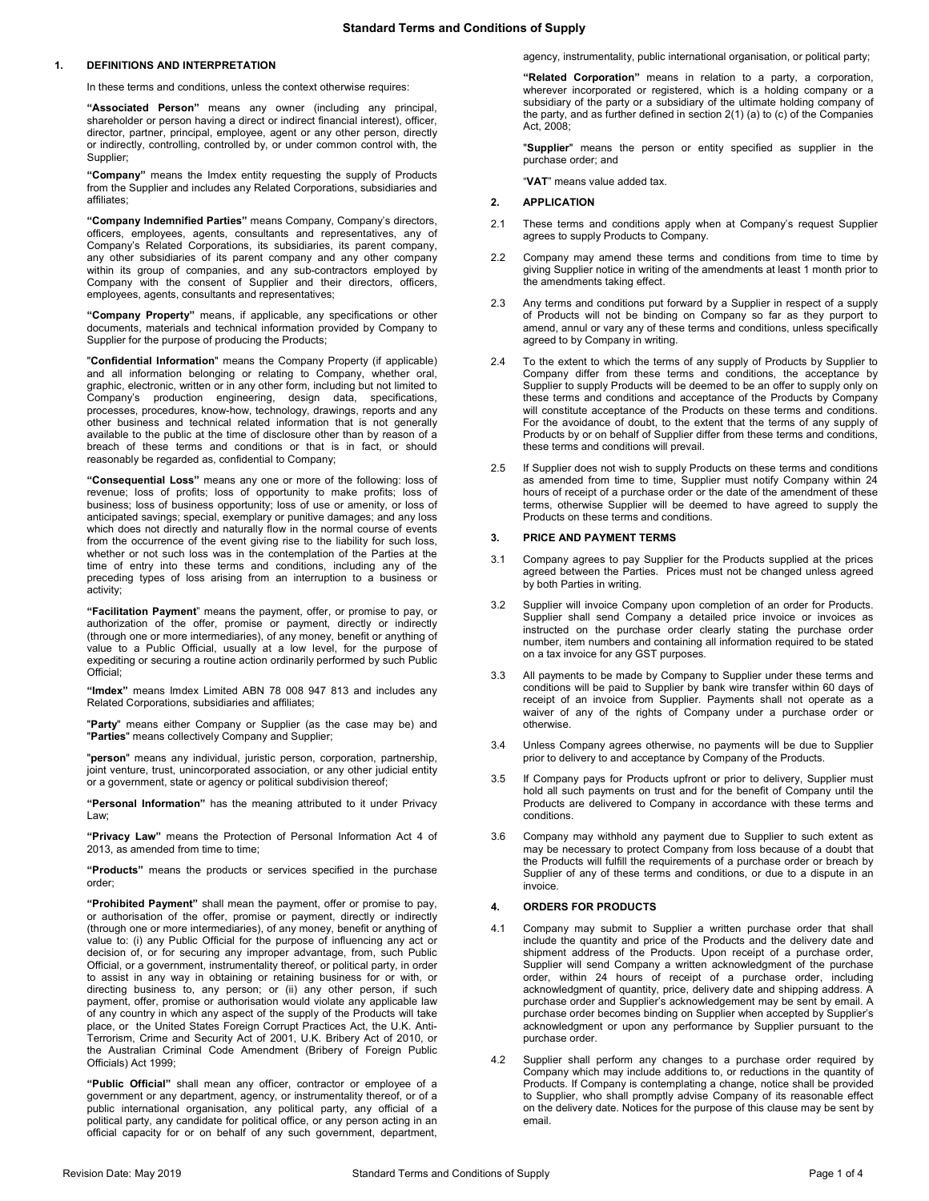# **1. DEFINITIONS AND INTERPRETATION**

In these terms and conditions, unless the context otherwise requires:

**"Associated Person"** means any owner (including any principal, shareholder or person having a direct or indirect financial interest), officer, director, partner, principal, employee, agent or any other person, directly or indirectly, controlling, controlled by, or under common control with, the Supplier;

**"Company"** means the Imdex entity requesting the supply of Products from the Supplier and includes any Related Corporations, subsidiaries and affiliates;

**"Company Indemnified Parties"** means Company, Company's directors, officers, employees, agents, consultants and representatives, any of Company's Related Corporations, its subsidiaries, its parent company, any other subsidiaries of its parent company and any other company within its group of companies, and any sub-contractors employed by Company with the consent of Supplier and their directors, officers, employees, agents, consultants and representatives;

**"Company Property"** means, if applicable, any specifications or other documents, materials and technical information provided by Company to Supplier for the purpose of producing the Products;

"**Confidential Information**" means the Company Property (if applicable) and all information belonging or relating to Company, whether oral, graphic, electronic, written or in any other form, including but not limited to Company's production engineering, design data, specifications, processes, procedures, know-how, technology, drawings, reports and any other business and technical related information that is not generally available to the public at the time of disclosure other than by reason of a breach of these terms and conditions or that is in fact, or should reasonably be regarded as, confidential to Company;

**"Consequential Loss"** means any one or more of the following: loss of revenue; loss of profits; loss of opportunity to make profits; loss of business; loss of business opportunity; loss of use or amenity, or loss of anticipated savings; special, exemplary or punitive damages; and any loss which does not directly and naturally flow in the normal course of events from the occurrence of the event giving rise to the liability for such loss, whether or not such loss was in the contemplation of the Parties at the time of entry into these terms and conditions, including any of the preceding types of loss arising from an interruption to a business or activity;

**"Facilitation Payment**" means the payment, offer, or promise to pay, or authorization of the offer, promise or payment, directly or indirectly (through one or more intermediaries), of any money, benefit or anything of value to a Public Official, usually at a low level, for the purpose of expediting or securing a routine action ordinarily performed by such Public Official;

**"Imdex"** means Imdex Limited ABN 78 008 947 813 and includes any Related Corporations, subsidiaries and affiliates;

"**Party**" means either Company or Supplier (as the case may be) and "**Parties**" means collectively Company and Supplier;

"**person**" means any individual, juristic person, corporation, partnership, joint venture, trust, unincorporated association, or any other judicial entity or a government, state or agency or political subdivision thereof;

**"Personal Information"** has the meaning attributed to it under Privacy Law;

**"Privacy Law"** means the Protection of Personal Information Act 4 of 2013, as amended from time to time;

**"Products"** means the products or services specified in the purchase order;

**"Prohibited Payment"** shall mean the payment, offer or promise to pay, or authorisation of the offer, promise or payment, directly or indirectly (through one or more intermediaries), of any money, benefit or anything of value to: (i) any Public Official for the purpose of influencing any act or decision of, or for securing any improper advantage, from, such Public Official, or a government, instrumentality thereof, or political party, in order to assist in any way in obtaining or retaining business for or with, or directing business to, any person; or (ii) any other person, if such payment, offer, promise or authorisation would violate any applicable law of any country in which any aspect of the supply of the Products will take place, or the United States Foreign Corrupt Practices Act, the U.K. Anti-Terrorism, Crime and Security Act of 2001, U.K. Bribery Act of 2010, or the Australian Criminal Code Amendment (Bribery of Foreign Public Officials) Act 1999;

**"Public Official"** shall mean any officer, contractor or employee of a government or any department, agency, or instrumentality thereof, or of a public international organisation, any political party, any official of a political party, any candidate for political office, or any person acting in an official capacity for or on behalf of any such government, department, agency, instrumentality, public international organisation, or political party;

**"Related Corporation"** means in relation to a party, a corporation, wherever incorporated or registered, which is a holding company or a subsidiary of the party or a subsidiary of the ultimate holding company of the party, and as further defined in section 2(1) (a) to (c) of the Companies Act, 2008;

"**Supplier**" means the person or entity specified as supplier in the purchase order; and

"**VAT**" means value added tax.

# **2. APPLICATION**

- 2.1 These terms and conditions apply when at Company's request Supplier agrees to supply Products to Company.
- 2.2 Company may amend these terms and conditions from time to time by giving Supplier notice in writing of the amendments at least 1 month prior to the amendments taking effect.
- 2.3 Any terms and conditions put forward by a Supplier in respect of a supply of Products will not be binding on Company so far as they purport to amend, annul or vary any of these terms and conditions, unless specifically agreed to by Company in writing.
- 2.4 To the extent to which the terms of any supply of Products by Supplier to Company differ from these terms and conditions, the acceptance by Supplier to supply Products will be deemed to be an offer to supply only on these terms and conditions and acceptance of the Products by Company will constitute acceptance of the Products on these terms and conditions. For the avoidance of doubt, to the extent that the terms of any supply of Products by or on behalf of Supplier differ from these terms and conditions, these terms and conditions will prevail.
- 2.5 If Supplier does not wish to supply Products on these terms and conditions as amended from time to time, Supplier must notify Company within 24 hours of receipt of a purchase order or the date of the amendment of these terms, otherwise Supplier will be deemed to have agreed to supply the Products on these terms and conditions.

### **3. PRICE AND PAYMENT TERMS**

- 3.1 Company agrees to pay Supplier for the Products supplied at the prices agreed between the Parties. Prices must not be changed unless agreed by both Parties in writing.
- 3.2 Supplier will invoice Company upon completion of an order for Products. Supplier shall send Company a detailed price invoice or invoices as instructed on the purchase order clearly stating the purchase order number, item numbers and containing all information required to be stated on a tax invoice for any GST purposes.
- 3.3 All payments to be made by Company to Supplier under these terms and conditions will be paid to Supplier by bank wire transfer within 60 days of receipt of an invoice from Supplier. Payments shall not operate as a waiver of any of the rights of Company under a purchase order or otherwise.
- 3.4 Unless Company agrees otherwise, no payments will be due to Supplier prior to delivery to and acceptance by Company of the Products.
- 3.5 If Company pays for Products upfront or prior to delivery, Supplier must hold all such payments on trust and for the benefit of Company until the Products are delivered to Company in accordance with these terms and conditions.
- 3.6 Company may withhold any payment due to Supplier to such extent as may be necessary to protect Company from loss because of a doubt that the Products will fulfill the requirements of a purchase order or breach by Supplier of any of these terms and conditions, or due to a dispute in an invoice.

### **4. ORDERS FOR PRODUCTS**

- <span id="page-0-0"></span>4.1 Company may submit to Supplier a written purchase order that shall include the quantity and price of the Products and the delivery date and shipment address of the Products. Upon receipt of a purchase order, Supplier will send Company a written acknowledgment of the purchase order, within 24 hours of receipt of a purchase order, including acknowledgment of quantity, price, delivery date and shipping address. A purchase order and Supplier's acknowledgement may be sent by email. A purchase order becomes binding on Supplier when accepted by Supplier's acknowledgment or upon any performance by Supplier pursuant to the purchase order.
- 4.2 Supplier shall perform any changes to a purchase order required by Company which may include additions to, or reductions in the quantity of Products. If Company is contemplating a change, notice shall be provided to Supplier, who shall promptly advise Company of its reasonable effect on the delivery date. Notices for the purpose of this clause may be sent by email.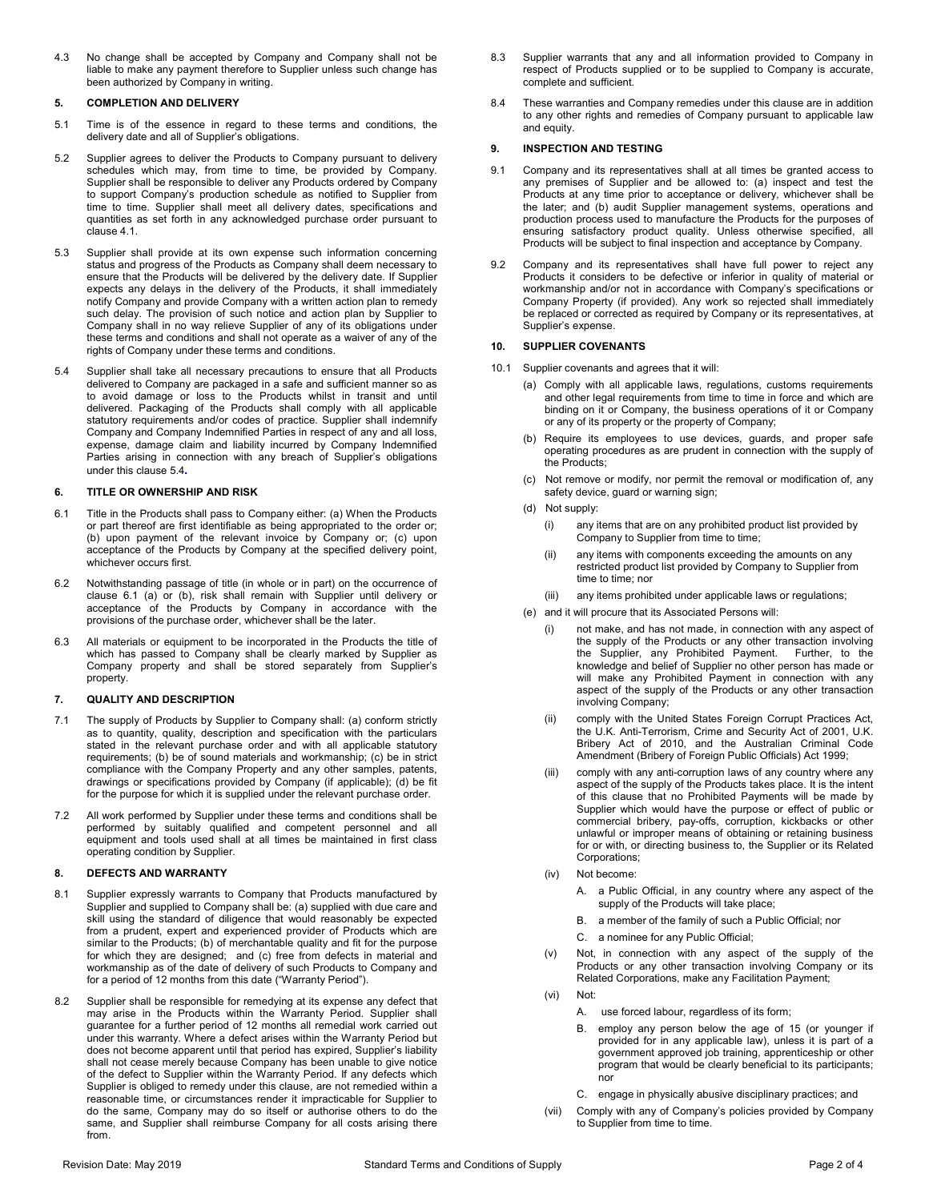4.3 No change shall be accepted by Company and Company shall not be liable to make any payment therefore to Supplier unless such change has been authorized by Company in writing.

## **5. COMPLETION AND DELIVERY**

- 5.1 Time is of the essence in regard to these terms and conditions, the delivery date and all of Supplier's obligations.
- 5.2 Supplier agrees to deliver the Products to Company pursuant to delivery schedules which may, from time to time, be provided by Company. Supplier shall be responsible to deliver any Products ordered by Company to support Company's production schedule as notified to Supplier from time to time. Supplier shall meet all delivery dates, specifications and quantities as set forth in any acknowledged purchase order pursuant to claus[e 4.1.](#page-0-0)
- 5.3 Supplier shall provide at its own expense such information concerning status and progress of the Products as Company shall deem necessary to ensure that the Products will be delivered by the delivery date. If Supplier expects any delays in the delivery of the Products, it shall immediately notify Company and provide Company with a written action plan to remedy such delay. The provision of such notice and action plan by Supplier to Company shall in no way relieve Supplier of any of its obligations under these terms and conditions and shall not operate as a waiver of any of the rights of Company under these terms and conditions.
- <span id="page-1-0"></span>5.4 Supplier shall take all necessary precautions to ensure that all Products delivered to Company are packaged in a safe and sufficient manner so as to avoid damage or loss to the Products whilst in transit and until delivered. Packaging of the Products shall comply with all applicable statutory requirements and/or codes of practice. Supplier shall indemnify Company and Company Indemnified Parties in respect of any and all loss, expense, damage claim and liability incurred by Company Indemnified Parties arising in connection with any breach of Supplier's obligations under this claus[e 5.4](#page-1-0)**.**

# **6. TITLE OR OWNERSHIP AND RISK**

- <span id="page-1-1"></span>6.1 Title in the Products shall pass to Company either: (a) When the Products or part thereof are first identifiable as being appropriated to the order or; (b) upon payment of the relevant invoice by Company or; (c) upon acceptance of the Products by Company at the specified delivery point, whichever occurs first.
- 6.2 Notwithstanding passage of title (in whole or in part) on the occurrence of clause [6.1](#page-1-1) (a) or (b), risk shall remain with Supplier until delivery or acceptance of the Products by Company in accordance with the provisions of the purchase order, whichever shall be the later.
- 6.3 All materials or equipment to be incorporated in the Products the title of which has passed to Company shall be clearly marked by Supplier as Company property and shall be stored separately from Supplier's property.

## **7. QUALITY AND DESCRIPTION**

- 7.1 The supply of Products by Supplier to Company shall: (a) conform strictly as to quantity, quality, description and specification with the particulars stated in the relevant purchase order and with all applicable statutory requirements; (b) be of sound materials and workmanship; (c) be in strict compliance with the Company Property and any other samples, patents, drawings or specifications provided by Company (if applicable); (d) be fit for the purpose for which it is supplied under the relevant purchase order.
- 7.2 All work performed by Supplier under these terms and conditions shall be performed by suitably qualified and competent personnel and all equipment and tools used shall at all times be maintained in first class operating condition by Supplier.

# **8. DEFECTS AND WARRANTY**

- 8.1 Supplier expressly warrants to Company that Products manufactured by Supplier and supplied to Company shall be: (a) supplied with due care and skill using the standard of diligence that would reasonably be expected from a prudent, expert and experienced provider of Products which are similar to the Products; (b) of merchantable quality and fit for the purpose for which they are designed; and (c) free from defects in material and workmanship as of the date of delivery of such Products to Company and for a period of 12 months from this date ("Warranty Period").
- 8.2 Supplier shall be responsible for remedying at its expense any defect that may arise in the Products within the Warranty Period. Supplier shall guarantee for a further period of 12 months all remedial work carried out under this warranty. Where a defect arises within the Warranty Period but does not become apparent until that period has expired, Supplier's liability shall not cease merely because Company has been unable to give notice of the defect to Supplier within the Warranty Period. If any defects which Supplier is obliged to remedy under this clause, are not remedied within a reasonable time, or circumstances render it impracticable for Supplier to do the same, Company may do so itself or authorise others to do the same, and Supplier shall reimburse Company for all costs arising there from.
- 8.3 Supplier warrants that any and all information provided to Company in respect of Products supplied or to be supplied to Company is accurate, complete and sufficient.
- 8.4 These warranties and Company remedies under this clause are in addition to any other rights and remedies of Company pursuant to applicable law and equity.

# **9. INSPECTION AND TESTING**

- 9.1 Company and its representatives shall at all times be granted access to any premises of Supplier and be allowed to: (a) inspect and test the Products at any time prior to acceptance or delivery, whichever shall be the later; and (b) audit Supplier management systems, operations and production process used to manufacture the Products for the purposes of ensuring satisfactory product quality. Unless otherwise specified, all Products will be subject to final inspection and acceptance by Company.
- 9.2 Company and its representatives shall have full power to reject any Products it considers to be defective or inferior in quality of material or workmanship and/or not in accordance with Company's specifications or Company Property (if provided). Any work so rejected shall immediately be replaced or corrected as required by Company or its representatives, at Supplier's expense.

# **10. SUPPLIER COVENANTS**

- 10.1 Supplier covenants and agrees that it will:
	- (a) Comply with all applicable laws, regulations, customs requirements and other legal requirements from time to time in force and which are binding on it or Company, the business operations of it or Company or any of its property or the property of Company;
	- (b) Require its employees to use devices, guards, and proper safe operating procedures as are prudent in connection with the supply of the Products;
	- (c) Not remove or modify, nor permit the removal or modification of, any safety device, guard or warning sign;
	- (d) Not supply:
		- (i) any items that are on any prohibited product list provided by Company to Supplier from time to time;
		- (ii) any items with components exceeding the amounts on any restricted product list provided by Company to Supplier from time to time; nor
		- (iii) any items prohibited under applicable laws or regulations;
	- (e) and it will procure that its Associated Persons will:
		- (i) not make, and has not made, in connection with any aspect of the supply of the Products or any other transaction involving the Supplier, any Prohibited Payment. Further, to the knowledge and belief of Supplier no other person has made or will make any Prohibited Payment in connection with any aspect of the supply of the Products or any other transaction involving Company;
		- (ii) comply with the United States Foreign Corrupt Practices Act, the U.K. Anti-Terrorism, Crime and Security Act of 2001, U.K. Bribery Act of 2010, and the Australian Criminal Code Amendment (Bribery of Foreign Public Officials) Act 1999;
		- (iii) comply with any anti-corruption laws of any country where any aspect of the supply of the Products takes place. It is the intent of this clause that no Prohibited Payments will be made by Supplier which would have the purpose or effect of public or commercial bribery, pay-offs, corruption, kickbacks or other unlawful or improper means of obtaining or retaining business for or with, or directing business to, the Supplier or its Related Corporations;
		- (iv) Not become:
			- A. a Public Official, in any country where any aspect of the supply of the Products will take place;
			- B. a member of the family of such a Public Official; nor
			- C. a nominee for any Public Official;
		- (v) Not, in connection with any aspect of the supply of the Products or any other transaction involving Company or its Related Corporations, make any Facilitation Payment;
		- (vi) Not:
			- A. use forced labour, regardless of its form;
			- B. employ any person below the age of 15 (or younger if provided for in any applicable law), unless it is part of a government approved job training, apprenticeship or other program that would be clearly beneficial to its participants; nor
			- C. engage in physically abusive disciplinary practices; and
		- (vii) Comply with any of Company's policies provided by Company to Supplier from time to time.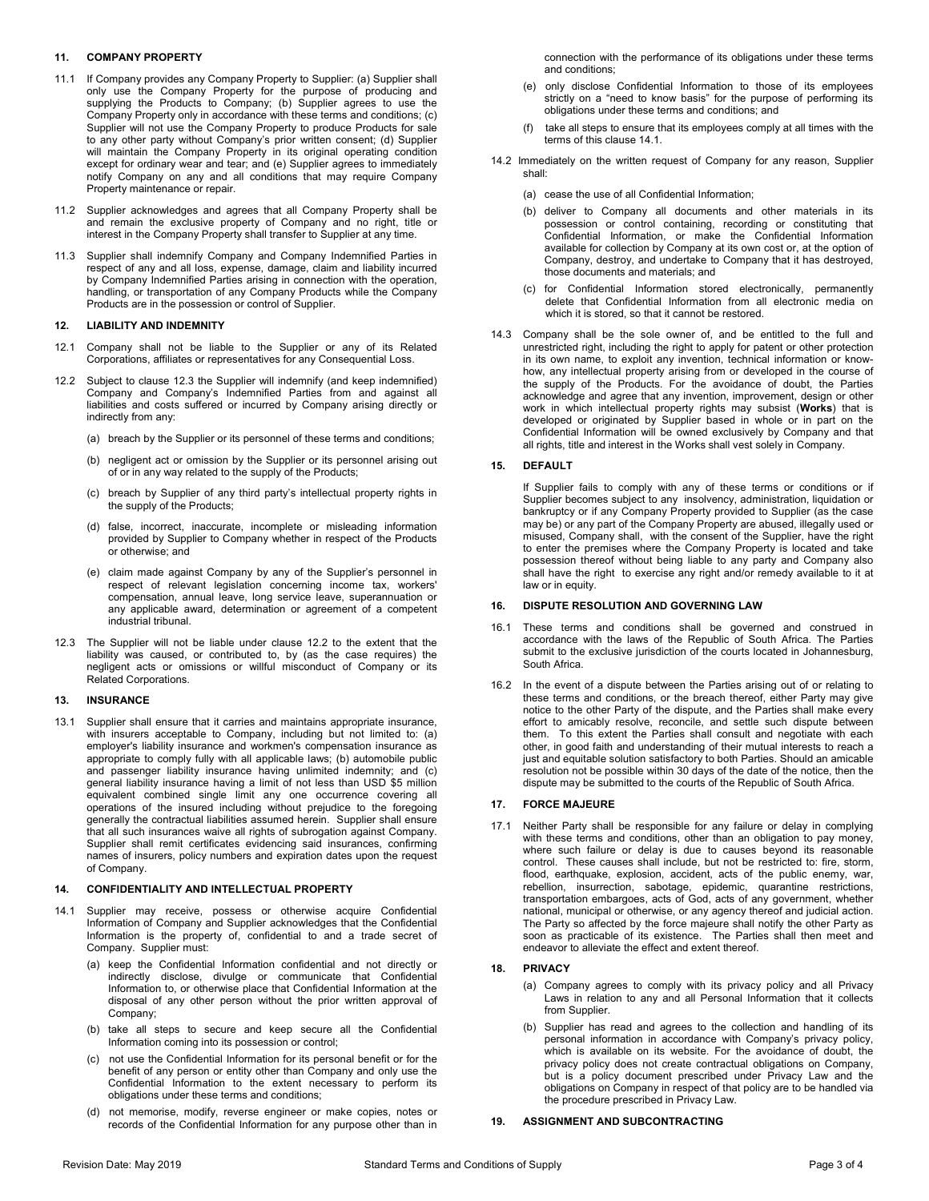# **11. COMPANY PROPERTY**

- 11.1 If Company provides any Company Property to Supplier: (a) Supplier shall only use the Company Property for the purpose of producing and supplying the Products to Company; (b) Supplier agrees to use the Company Property only in accordance with these terms and conditions; (c) Supplier will not use the Company Property to produce Products for sale to any other party without Company's prior written consent; (d) Supplier will maintain the Company Property in its original operating condition except for ordinary wear and tear; and (e) Supplier agrees to immediately notify Company on any and all conditions that may require Company Property maintenance or repair.
- 11.2 Supplier acknowledges and agrees that all Company Property shall be and remain the exclusive property of Company and no right, title or interest in the Company Property shall transfer to Supplier at any time.
- 11.3 Supplier shall indemnify Company and Company Indemnified Parties in respect of any and all loss, expense, damage, claim and liability incurred by Company Indemnified Parties arising in connection with the operation, handling, or transportation of any Company Products while the Company Products are in the possession or control of Supplier.

## **12. LIABILITY AND INDEMNITY**

- 12.1 Company shall not be liable to the Supplier or any of its Related Corporations, affiliates or representatives for any Consequential Loss.
- <span id="page-2-1"></span>12.2 Subject to clause [12.3](#page-2-0) the Supplier will indemnify (and keep indemnified) Company and Company's Indemnified Parties from and against all liabilities and costs suffered or incurred by Company arising directly or indirectly from any:
	- (a) breach by the Supplier or its personnel of these terms and conditions;
	- (b) negligent act or omission by the Supplier or its personnel arising out of or in any way related to the supply of the Products;
	- (c) breach by Supplier of any third party's intellectual property rights in the supply of the Products;
	- (d) false, incorrect, inaccurate, incomplete or misleading information provided by Supplier to Company whether in respect of the Products or otherwise; and
	- (e) claim made against Company by any of the Supplier's personnel in respect of relevant legislation concerning income tax, workers' compensation, annual leave, long service leave, superannuation or any applicable award, determination or agreement of a competent industrial tribunal.
- <span id="page-2-0"></span>12.3 The Supplier will not be liable under clause [12.2](#page-2-1) to the extent that the liability was caused, or contributed to, by (as the case requires) the negligent acts or omissions or willful misconduct of Company or its Related Corporations.

## **13. INSURANCE**

13.1 Supplier shall ensure that it carries and maintains appropriate insurance, with insurers acceptable to Company, including but not limited to: (a) employer's liability insurance and workmen's compensation insurance as appropriate to comply fully with all applicable laws; (b) automobile public and passenger liability insurance having unlimited indemnity; and (c) general liability insurance having a limit of not less than USD \$5 million equivalent combined single limit any one occurrence covering all operations of the insured including without prejudice to the foregoing generally the contractual liabilities assumed herein. Supplier shall ensure that all such insurances waive all rights of subrogation against Company. Supplier shall remit certificates evidencing said insurances, confirming names of insurers, policy numbers and expiration dates upon the request of Company.

### **14. CONFIDENTIALITY AND INTELLECTUAL PROPERTY**

- <span id="page-2-2"></span>14.1 Supplier may receive, possess or otherwise acquire Confidential Information of Company and Supplier acknowledges that the Confidential Information is the property of, confidential to and a trade secret of Company. Supplier must:
	- (a) keep the Confidential Information confidential and not directly or indirectly disclose, divulge or communicate that Confidential Information to, or otherwise place that Confidential Information at the disposal of any other person without the prior written approval of Company;
	- (b) take all steps to secure and keep secure all the Confidential Information coming into its possession or control;
	- (c) not use the Confidential Information for its personal benefit or for the benefit of any person or entity other than Company and only use the Confidential Information to the extent necessary to perform its obligations under these terms and conditions;
	- (d) not memorise, modify, reverse engineer or make copies, notes or records of the Confidential Information for any purpose other than in

connection with the performance of its obligations under these terms and conditions;

- (e) only disclose Confidential Information to those of its employees strictly on a "need to know basis" for the purpose of performing its obligations under these terms and conditions; and
- (f) take all steps to ensure that its employees comply at all times with the terms of this claus[e 14.1.](#page-2-2)
- 14.2 Immediately on the written request of Company for any reason, Supplier shall:
	- (a) cease the use of all Confidential Information;
	- (b) deliver to Company all documents and other materials in its possession or control containing, recording or constituting that Confidential Information, or make the Confidential Information available for collection by Company at its own cost or, at the option of Company, destroy, and undertake to Company that it has destroyed, those documents and materials; and
	- (c) for Confidential Information stored electronically, permanently delete that Confidential Information from all electronic media on which it is stored, so that it cannot be restored.
- 14.3 Company shall be the sole owner of, and be entitled to the full and unrestricted right, including the right to apply for patent or other protection in its own name, to exploit any invention, technical information or knowhow, any intellectual property arising from or developed in the course of the supply of the Products. For the avoidance of doubt, the Parties acknowledge and agree that any invention, improvement, design or other work in which intellectual property rights may subsist (**Works**) that is developed or originated by Supplier based in whole or in part on the Confidential Information will be owned exclusively by Company and that all rights, title and interest in the Works shall vest solely in Company.

# **15. DEFAULT**

If Supplier fails to comply with any of these terms or conditions or if Supplier becomes subject to any insolvency, administration, liquidation or bankruptcy or if any Company Property provided to Supplier (as the case may be) or any part of the Company Property are abused, illegally used or misused, Company shall, with the consent of the Supplier, have the right to enter the premises where the Company Property is located and take possession thereof without being liable to any party and Company also shall have the right to exercise any right and/or remedy available to it at law or in equity.

### **16. DISPUTE RESOLUTION AND GOVERNING LAW**

- 16.1 These terms and conditions shall be governed and construed in accordance with the laws of the Republic of South Africa. The Parties submit to the exclusive jurisdiction of the courts located in Johannesburg, South Africa.
- 16.2 In the event of a dispute between the Parties arising out of or relating to these terms and conditions, or the breach thereof, either Party may give notice to the other Party of the dispute, and the Parties shall make every effort to amicably resolve, reconcile, and settle such dispute between them. To this extent the Parties shall consult and negotiate with each other, in good faith and understanding of their mutual interests to reach a just and equitable solution satisfactory to both Parties. Should an amicable resolution not be possible within 30 days of the date of the notice, then the dispute may be submitted to the courts of the Republic of South Africa.

## **17. FORCE MAJEURE**

17.1 Neither Party shall be responsible for any failure or delay in complying with these terms and conditions, other than an obligation to pay money, where such failure or delay is due to causes beyond its reasonable control. These causes shall include, but not be restricted to: fire, storm, flood, earthquake, explosion, accident, acts of the public enemy, war, rebellion, insurrection, sabotage, epidemic, quarantine restrictions, transportation embargoes, acts of God, acts of any government, whether national, municipal or otherwise, or any agency thereof and judicial action. The Party so affected by the force majeure shall notify the other Party as soon as practicable of its existence. The Parties shall then meet and endeavor to alleviate the effect and extent thereof.

### **18. PRIVACY**

- (a) Company agrees to comply with its privacy policy and all Privacy Laws in relation to any and all Personal Information that it collects from Supplier.
- (b) Supplier has read and agrees to the collection and handling of its personal information in accordance with Company's privacy policy, which is available on its website. For the avoidance of doubt, the privacy policy does not create contractual obligations on Company, but is a policy document prescribed under Privacy Law and the obligations on Company in respect of that policy are to be handled via the procedure prescribed in Privacy Law.

#### **19. ASSIGNMENT AND SUBCONTRACTING**